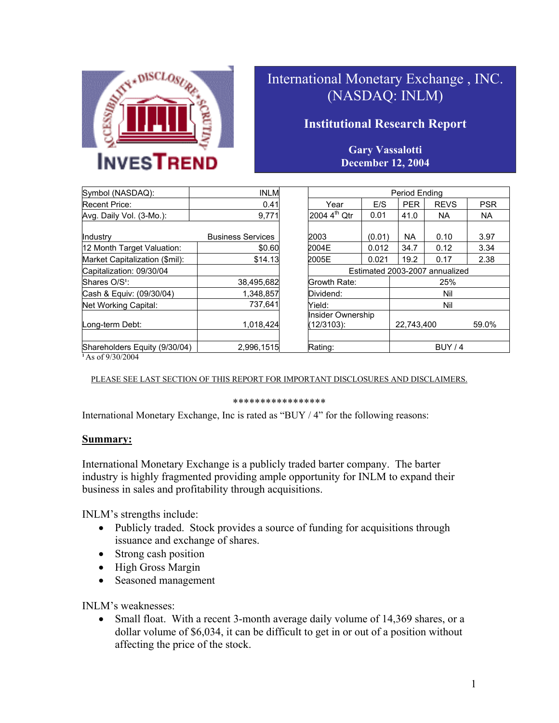

# International Monetary Exchange , INC. (NASDAQ: INLM)

# **Institutional Research Report**

### **Gary Vassalotti December 12, 2004**

| Symbol (NASDAQ):               | <b>INLM</b>              |                                 |        | Period Ending |                                |            |
|--------------------------------|--------------------------|---------------------------------|--------|---------------|--------------------------------|------------|
| <b>Recent Price:</b>           | 0.41                     | Year                            | E/S    | <b>PER</b>    | <b>REVS</b>                    | <b>PSR</b> |
| Avg. Daily Vol. (3-Mo.):       | 9,771                    | 2004 4 <sup>th</sup> Qtr        | 0.01   | 41.0          | <b>NA</b>                      | <b>NA</b>  |
| Industry                       | <b>Business Services</b> | 2003                            | (0.01) | NA            | 0.10                           | 3.97       |
| 12 Month Target Valuation:     | \$0.60                   | 2004E                           | 0.012  | 34.7          | 0.12                           | 3.34       |
| Market Capitalization (\$mil): | \$14.13                  | 2005E                           | 0.021  | 19.2          | 0.17                           | 2.38       |
| Capitalization: 09/30/04       |                          |                                 |        |               | Estimated 2003-2007 annualized |            |
| Shares O/S <sup>1</sup> :      | 38,495,682               | Growth Rate:                    |        |               | 25%                            |            |
| Cash & Equiv: (09/30/04)       | 1.348.857                | Dividend:                       |        |               | Nil                            |            |
| Net Working Capital:           | 737.641                  | Yield:                          |        |               | Nil                            |            |
| Long-term Debt:                | 1,018,424                | Insider Ownership<br>(12/3103): |        | 22,743,400    |                                | 59.0%      |
| Shareholders Equity (9/30/04)  | 2,996,1515               | Rating:                         |        | BUY/4         |                                |            |

|                          |        | Period Ending                  |             |            |  |
|--------------------------|--------|--------------------------------|-------------|------------|--|
| Year                     | E/S    | <b>PER</b>                     | <b>REVS</b> | <b>PSR</b> |  |
| 2004 4 <sup>th</sup> Qtr | 0.01   | 41.0                           | NA.         | <b>NA</b>  |  |
|                          |        |                                |             |            |  |
| 2003                     | (0.01) | <b>NA</b>                      | 0.10        | 3.97       |  |
| 2004E                    | 0.012  | 34.7                           | 0.12        | 3.34       |  |
| 2005E                    | 0.021  | 19.2                           | 0.17        | 2.38       |  |
|                          |        | Estimated 2003-2007 annualized |             |            |  |
| Growth Rate:             |        |                                | 25%         |            |  |
| Dividend:<br>Nil         |        |                                |             |            |  |
| Yield:                   |        |                                | Nil         |            |  |
| Insider Ownership        |        |                                |             |            |  |
| (12/3103):               |        | 22,743,400<br>59.0%            |             |            |  |
|                          |        |                                |             |            |  |
| Rating:                  |        | <b>BUY / 4</b>                 |             |            |  |

**<sup>1</sup>**As of 9/30/2004

PLEASE SEE LAST SECTION OF THIS REPORT FOR IMPORTANT DISCLOSURES AND DISCLAIMERS.

#### \*\*\*\*\*\*\*\*\*\*\*\*\*\*\*\*\*

International Monetary Exchange, Inc is rated as "BUY / 4" for the following reasons:

#### **Summary:**

International Monetary Exchange is a publicly traded barter company. The barter industry is highly fragmented providing ample opportunity for INLM to expand their business in sales and profitability through acquisitions.

INLM's strengths include:

- Publicly traded. Stock provides a source of funding for acquisitions through issuance and exchange of shares.
- Strong cash position
- High Gross Margin
- Seasoned management

INLM's weaknesses:

• Small float. With a recent 3-month average daily volume of 14,369 shares, or a dollar volume of \$6,034, it can be difficult to get in or out of a position without affecting the price of the stock.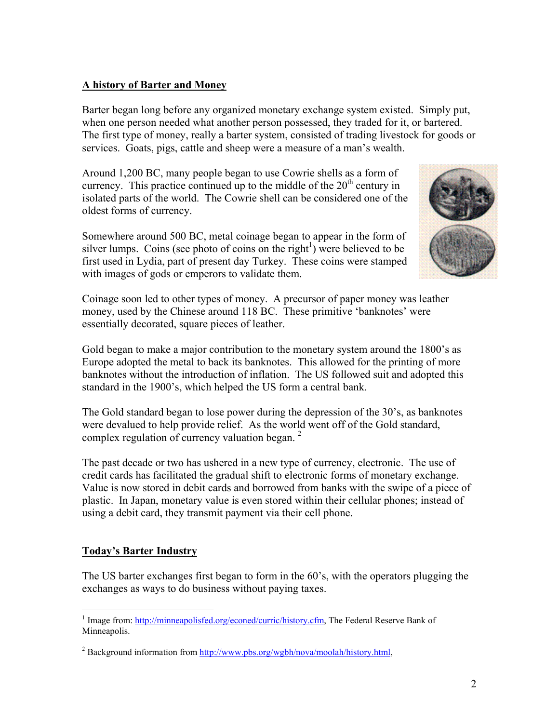### **A history of Barter and Money**

Barter began long before any organized monetary exchange system existed. Simply put, when one person needed what another person possessed, they traded for it, or bartered. The first type of money, really a barter system, consisted of trading livestock for goods or services. Goats, pigs, cattle and sheep were a measure of a man's wealth.

Around 1,200 BC, many people began to use Cowrie shells as a form of currency. This practice continued up to the middle of the  $20<sup>th</sup>$  century in isolated parts of the world. The Cowrie shell can be considered one of the oldest forms of currency.

Somewhere around 500 BC, metal coinage began to appear in the form of silver lumps. Coins (see photo of coins on the right<sup>1</sup>) were believed to be first used in Lydia, part of present day Turkey. These coins were stamped with images of gods or emperors to validate them.



Coinage soon led to other types of money. A precursor of paper money was leather money, used by the Chinese around 118 BC. These primitive 'banknotes' were essentially decorated, square pieces of leather.

Gold began to make a major contribution to the monetary system around the 1800's as Europe adopted the metal to back its banknotes. This allowed for the printing of more banknotes without the introduction of inflation. The US followed suit and adopted this standard in the 1900's, which helped the US form a central bank.

The Gold standard began to lose power during the depression of the 30's, as banknotes were devalued to help provide relief. As the world went off of the Gold standard, complex regulation of currency valuation began.  $2^{\circ}$ 

The past decade or two has ushered in a new type of currency, electronic. The use of credit cards has facilitated the gradual shift to electronic forms of monetary exchange. Value is now stored in debit cards and borrowed from banks with the swipe of a piece of plastic. In Japan, monetary value is even stored within their cellular phones; instead of using a debit card, they transmit payment via their cell phone.

## **Today's Barter Industry**

The US barter exchanges first began to form in the 60's, with the operators plugging the exchanges as ways to do business without paying taxes.

<span id="page-1-0"></span> $\overline{a}$ <sup>1</sup> Image from: <http://minneapolisfed.org/econed/curric/history.cfm>, The Federal Reserve Bank of Minneapolis.

<span id="page-1-1"></span><sup>&</sup>lt;sup>2</sup> Background information from  $\frac{http://www.pbs.org/wgbh/nova/moolah/history.html}{http://www.pbs.org/wgbh/nova/moolah/history.html}$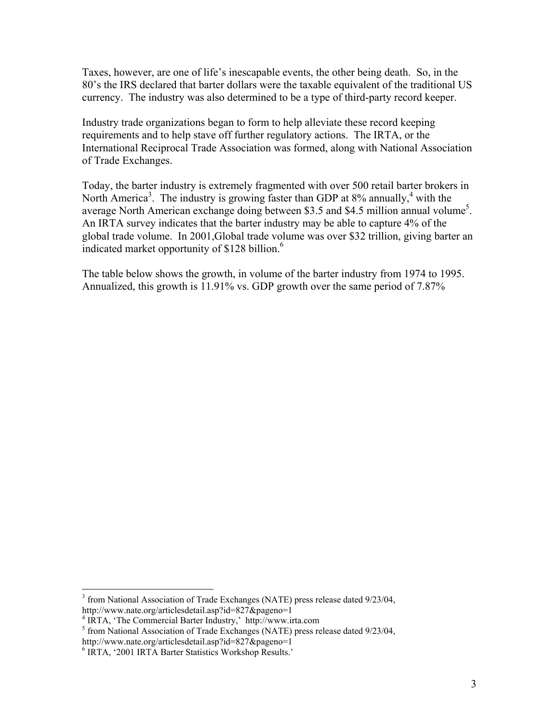Taxes, however, are one of life's inescapable events, the other being death. So, in the 80's the IRS declared that barter dollars were the taxable equivalent of the traditional US currency. The industry was also determined to be a type of third-party record keeper.

Industry trade organizations began to form to help alleviate these record keeping requirements and to help stave off further regulatory actions. The IRTA, or the International Reciprocal Trade Association was formed, along with National Association of Trade Exchanges.

Today, the barter industry is extremely fragmented with over 500 retail barter brokers in North America<sup>3</sup>. The industry is growing faster than GDP at 8% annually,<sup>4</sup> [w](#page-2-1)ith the average North American exchange doing between \$3[.](#page-2-2)5 and \$4.5 million annual volume<sup>5</sup>. An IRTA survey indicates that the barter industry may be able to capture 4% of the global trade volume. In 2001,Global trade volume was over \$32 trillion, giving barter an indicated market opportunity of \$128 billion.<sup>[6](#page-2-3)</sup>

The table below shows the growth, in volume of the barter industry from 1974 to 1995. Annualized, this growth is 11.91% vs. GDP growth over the same period of 7.87%

 $\overline{a}$ 

<span id="page-2-0"></span><sup>&</sup>lt;sup>3</sup> from National Association of Trade Exchanges (NATE) press release dated 9/23/04, http://www.nate.org/articlesdetail.asp?id=827&pageno=1 <sup>4</sup>

<span id="page-2-1"></span><sup>&</sup>lt;sup>4</sup> IRTA, 'The Commercial Barter Industry,' http://www.irta.com

<span id="page-2-2"></span> $5$  from National Association of Trade Exchanges (NATE) press release dated 9/23/04, http://www.nate.org/articlesdetail.asp?id=827&pageno=1 <sup>6</sup>

<span id="page-2-3"></span><sup>&</sup>lt;sup>6</sup> IRTA, '2001 IRTA Barter Statistics Workshop Results.'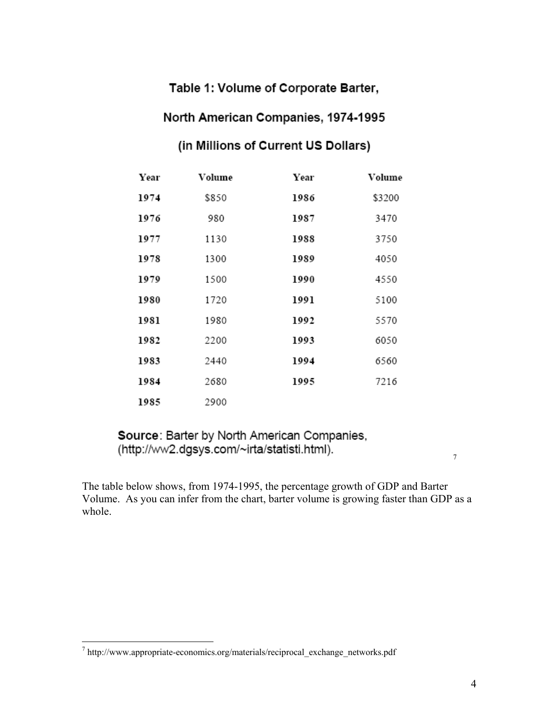# Table 1: Volume of Corporate Barter,

# North American Companies, 1974-1995

# (in Millions of Current US Dollars)

| Year | Volume | Year | Volume |
|------|--------|------|--------|
| 1974 | \$850  | 1986 | \$3200 |
| 1976 | 980    | 1987 | 3470   |
| 1977 | 1130   | 1988 | 3750   |
| 1978 | 1300   | 1989 | 4050   |
| 1979 | 1500   | 1990 | 4550   |
| 1980 | 1720   | 1991 | 5100   |
| 1981 | 1980   | 1992 | 5570   |
| 1982 | 2200   | 1993 | 6050   |
| 1983 | 2440   | 1994 | 6560   |
| 1984 | 2680   | 1995 | 7216   |
| 1985 | 2900   |      |        |

Source: Barter by North American Companies, (http://ww2.dgsys.com/~irta/statisti.html).

The table below shows, from 1974-1995, the percentage growth of GDP and Barter Volume. As you can infer from the chart, barter volume is growing faster than GDP as a whole.

<u>.</u>

7

 $^7$  http://www.appropriate-economics.org/materials/reciprocal\_exchange\_networks.pdf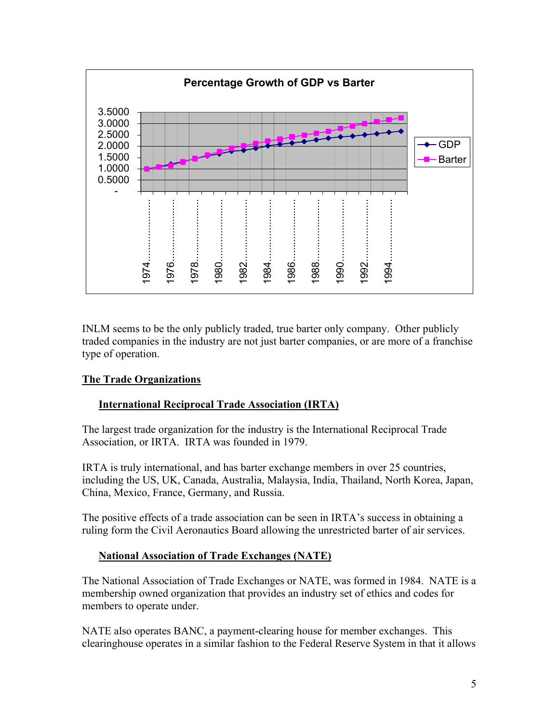

INLM seems to be the only publicly traded, true barter only company. Other publicly traded companies in the industry are not just barter companies, or are more of a franchise type of operation.

#### **The Trade Organizations**

#### **International Reciprocal Trade Association (IRTA)**

The largest trade organization for the industry is the International Reciprocal Trade Association, or IRTA. IRTA was founded in 1979.

IRTA is truly international, and has barter exchange members in over 25 countries, including the US, UK, Canada, Australia, Malaysia, India, Thailand, North Korea, Japan, China, Mexico, France, Germany, and Russia.

The positive effects of a trade association can be seen in IRTA's success in obtaining a ruling form the Civil Aeronautics Board allowing the unrestricted barter of air services.

#### **National Association of Trade Exchanges (NATE)**

The National Association of Trade Exchanges or NATE, was formed in 1984. NATE is a membership owned organization that provides an industry set of ethics and codes for members to operate under.

NATE also operates BANC, a payment-clearing house for member exchanges. This clearinghouse operates in a similar fashion to the Federal Reserve System in that it allows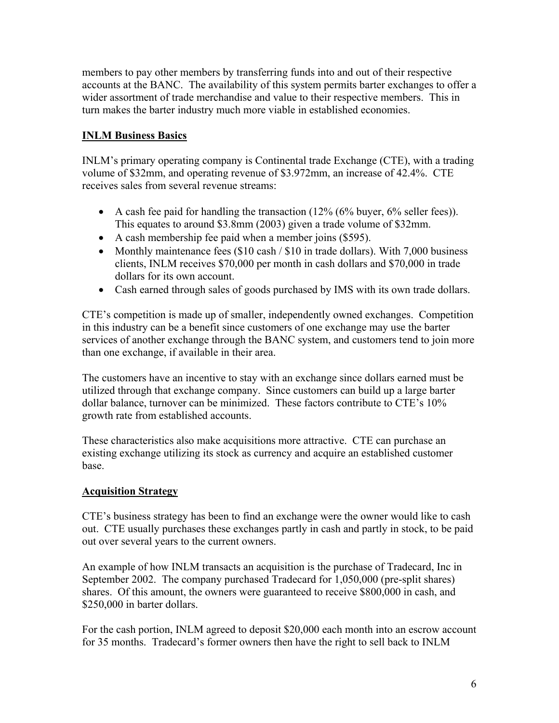members to pay other members by transferring funds into and out of their respective accounts at the BANC. The availability of this system permits barter exchanges to offer a wider assortment of trade merchandise and value to their respective members. This in turn makes the barter industry much more viable in established economies.

## **INLM Business Basics**

INLM's primary operating company is Continental trade Exchange (CTE), with a trading volume of \$32mm, and operating revenue of \$3.972mm, an increase of 42.4%. CTE receives sales from several revenue streams:

- A cash fee paid for handling the transaction  $(12\% (6\%)$  buyer,  $6\%$  seller fees)). This equates to around \$3.8mm (2003) given a trade volume of \$32mm.
- A cash membership fee paid when a member joins (\$595).
- Monthly maintenance fees (\$10 cash / \$10 in trade dollars). With 7,000 business clients, INLM receives \$70,000 per month in cash dollars and \$70,000 in trade dollars for its own account.
- Cash earned through sales of goods purchased by IMS with its own trade dollars.

CTE's competition is made up of smaller, independently owned exchanges. Competition in this industry can be a benefit since customers of one exchange may use the barter services of another exchange through the BANC system, and customers tend to join more than one exchange, if available in their area.

The customers have an incentive to stay with an exchange since dollars earned must be utilized through that exchange company. Since customers can build up a large barter dollar balance, turnover can be minimized. These factors contribute to CTE's 10% growth rate from established accounts.

These characteristics also make acquisitions more attractive. CTE can purchase an existing exchange utilizing its stock as currency and acquire an established customer base.

#### **Acquisition Strategy**

CTE's business strategy has been to find an exchange were the owner would like to cash out. CTE usually purchases these exchanges partly in cash and partly in stock, to be paid out over several years to the current owners.

An example of how INLM transacts an acquisition is the purchase of Tradecard, Inc in September 2002. The company purchased Tradecard for 1,050,000 (pre-split shares) shares. Of this amount, the owners were guaranteed to receive \$800,000 in cash, and \$250,000 in barter dollars.

For the cash portion, INLM agreed to deposit \$20,000 each month into an escrow account for 35 months. Tradecard's former owners then have the right to sell back to INLM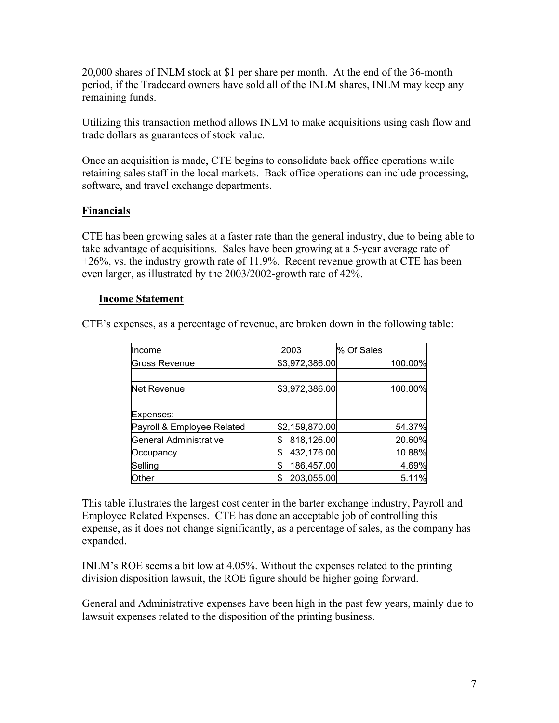20,000 shares of INLM stock at \$1 per share per month. At the end of the 36-month period, if the Tradecard owners have sold all of the INLM shares, INLM may keep any remaining funds.

Utilizing this transaction method allows INLM to make acquisitions using cash flow and trade dollars as guarantees of stock value.

Once an acquisition is made, CTE begins to consolidate back office operations while retaining sales staff in the local markets. Back office operations can include processing, software, and travel exchange departments.

#### **Financials**

CTE has been growing sales at a faster rate than the general industry, due to being able to take advantage of acquisitions. Sales have been growing at a 5-year average rate of +26%, vs. the industry growth rate of 11.9%. Recent revenue growth at CTE has been even larger, as illustrated by the 2003/2002-growth rate of 42%.

#### **Income Statement**

CTE's expenses, as a percentage of revenue, are broken down in the following table:

| Income                     | 2003             | % Of Sales |         |
|----------------------------|------------------|------------|---------|
| <b>Gross Revenue</b>       | \$3,972,386.00   |            | 100.00% |
|                            |                  |            |         |
| Net Revenue                | \$3,972,386.00   |            | 100.00% |
|                            |                  |            |         |
| Expenses:                  |                  |            |         |
| Payroll & Employee Related | \$2,159,870.00   |            | 54.37%  |
| General Administrative     | 818,126.00       |            | 20.60%  |
| Occupancy                  | 432,176.00<br>\$ |            | 10.88%  |
| Selling                    | 186,457.00<br>S  |            | 4.69%   |
| Other                      | 203,055.00       |            | 5.11%   |

This table illustrates the largest cost center in the barter exchange industry, Payroll and Employee Related Expenses. CTE has done an acceptable job of controlling this expense, as it does not change significantly, as a percentage of sales, as the company has expanded.

INLM's ROE seems a bit low at 4.05%. Without the expenses related to the printing division disposition lawsuit, the ROE figure should be higher going forward.

General and Administrative expenses have been high in the past few years, mainly due to lawsuit expenses related to the disposition of the printing business.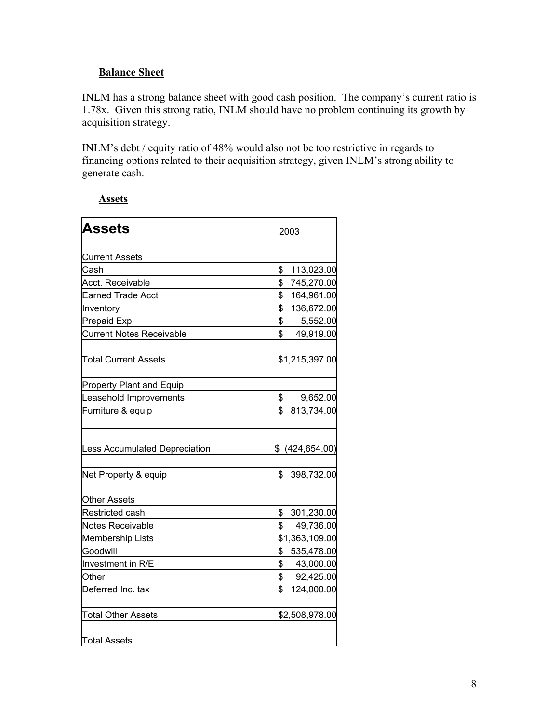## **Balance Sheet**

INLM has a strong balance sheet with good cash position. The company's current ratio is 1.78x. Given this strong ratio, INLM should have no problem continuing its growth by acquisition strategy.

INLM's debt / equity ratio of 48% would also not be too restrictive in regards to financing options related to their acquisition strategy, given INLM's strong ability to generate cash.

|--|

| <b>Assets</b>                        | 2003             |
|--------------------------------------|------------------|
|                                      |                  |
| <b>Current Assets</b>                |                  |
| Cash                                 | \$<br>113,023.00 |
| Acct. Receivable                     | \$<br>745,270.00 |
| <b>Earned Trade Acct</b>             | \$<br>164,961.00 |
| Inventory                            | \$<br>136,672.00 |
| Prepaid Exp                          | \$<br>5,552.00   |
| <b>Current Notes Receivable</b>      | \$<br>49,919.00  |
| <b>Total Current Assets</b>          | \$1,215,397.00   |
| <b>Property Plant and Equip</b>      |                  |
| Leasehold Improvements               | \$<br>9,652.00   |
| Furniture & equip                    | \$<br>813,734.00 |
| <b>Less Accumulated Depreciation</b> | \$ (424, 654.00) |
| Net Property & equip                 | 398,732.00<br>\$ |
| <b>Other Assets</b>                  |                  |
| Restricted cash                      | 301,230.00<br>\$ |
| Notes Receivable                     | \$<br>49,736.00  |
| <b>Membership Lists</b>              | \$1,363,109.00   |
| Goodwill                             | \$<br>535,478.00 |
| Investment in R/E                    | 43,000.00<br>\$  |
| Other                                | \$<br>92,425.00  |
| Deferred Inc. tax                    | 124,000.00<br>\$ |
| <b>Total Other Assets</b>            | \$2,508,978.00   |
| <b>Total Assets</b>                  |                  |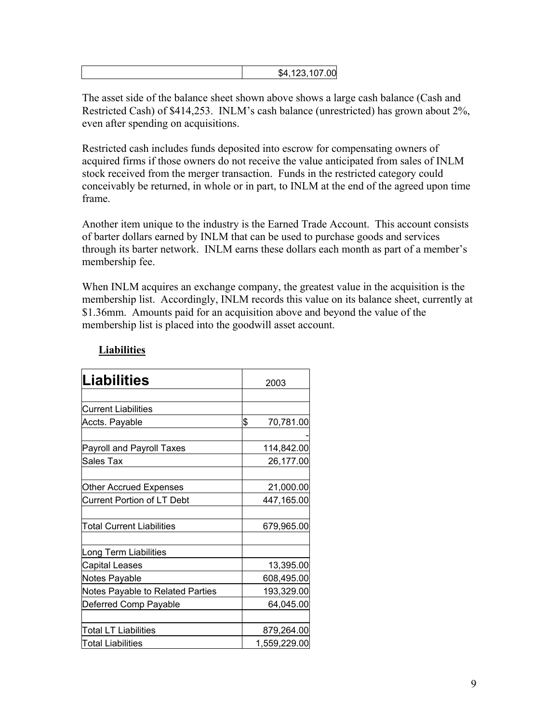|  |  | 00.107.00 <b>00</b><br><u>т</u> л<br>ש |
|--|--|----------------------------------------|
|--|--|----------------------------------------|

The asset side of the balance sheet shown above shows a large cash balance (Cash and Restricted Cash) of \$414,253. INLM's cash balance (unrestricted) has grown about 2%, even after spending on acquisitions.

Restricted cash includes funds deposited into escrow for compensating owners of acquired firms if those owners do not receive the value anticipated from sales of INLM stock received from the merger transaction. Funds in the restricted category could conceivably be returned, in whole or in part, to INLM at the end of the agreed upon time frame.

Another item unique to the industry is the Earned Trade Account. This account consists of barter dollars earned by INLM that can be used to purchase goods and services through its barter network. INLM earns these dollars each month as part of a member's membership fee.

When INLM acquires an exchange company, the greatest value in the acquisition is the membership list. Accordingly, INLM records this value on its balance sheet, currently at \$1.36mm. Amounts paid for an acquisition above and beyond the value of the membership list is placed into the goodwill asset account.

| <b>Liabilities</b>                | 2003            |
|-----------------------------------|-----------------|
|                                   |                 |
| <b>Current Liabilities</b>        |                 |
| Accts. Payable                    | \$<br>70,781.00 |
|                                   |                 |
| Payroll and Payroll Taxes         | 114,842.00      |
| Sales Tax                         | 26,177.00       |
|                                   |                 |
| Other Accrued Expenses            | 21,000.00       |
| <b>Current Portion of LT Debt</b> | 447,165.00      |
|                                   |                 |
| <b>Total Current Liabilities</b>  | 679,965.00      |
|                                   |                 |
| Long Term Liabilities             |                 |
| Capital Leases                    | 13,395.00       |
| <b>Notes Payable</b>              | 608,495.00      |
| Notes Payable to Related Parties  | 193,329.00      |
| Deferred Comp Payable             | 64,045.00       |
|                                   |                 |
| Total LT Liabilities              | 879,264.00      |
| <b>Total Liabilities</b>          | 1,559,229.00    |

# **Liabilities**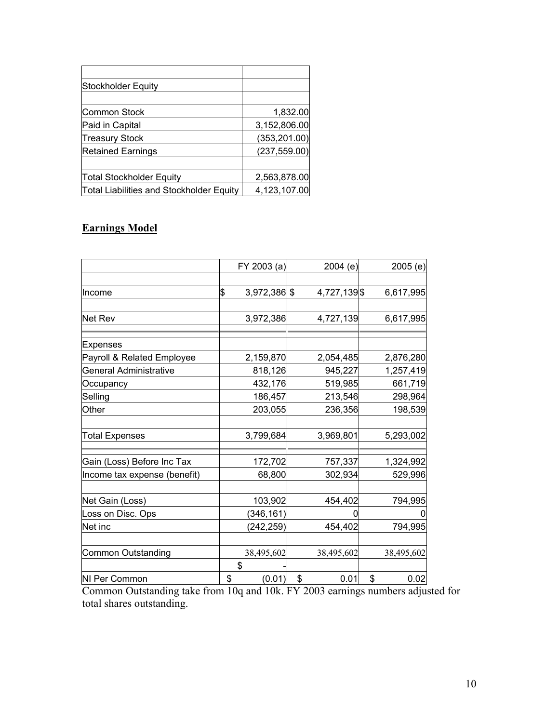| <b>Stockholder Equity</b>                |               |
|------------------------------------------|---------------|
|                                          |               |
| Common Stock                             | 1,832.00      |
| Paid in Capital                          | 3,152,806.00  |
| <b>Treasury Stock</b>                    | (353, 201.00) |
| <b>Retained Earnings</b>                 | (237, 559.00) |
|                                          |               |
| Total Stockholder Equity                 | 2,563,878.00  |
| Total Liabilities and Stockholder Equity | 4,123,107.00  |

# **Earnings Model**

|                              | FY 2003 (a)        | 2004 (e)     | 2005(e)    |
|------------------------------|--------------------|--------------|------------|
|                              |                    |              |            |
| llncome                      | \$<br>3,972,386 \$ | 4,727,139 \$ | 6,617,995  |
|                              |                    |              |            |
| Net Rev                      | 3,972,386          | 4,727,139    | 6,617,995  |
| Expenses                     |                    |              |            |
| Payroll & Related Employee   | 2,159,870          | 2,054,485    | 2,876,280  |
| General Administrative       | 818,126            | 945,227      | 1,257,419  |
| Occupancy                    | 432,176            | 519,985      | 661,719    |
| Selling                      | 186,457            | 213,546      | 298,964    |
| Other                        | 203,055            | 236,356      | 198,539    |
| <b>Total Expenses</b>        | 3,799,684          | 3,969,801    | 5,293,002  |
|                              |                    |              |            |
| Gain (Loss) Before Inc Tax   | 172,702            | 757,337      | 1,324,992  |
| Income tax expense (benefit) | 68,800             | 302,934      | 529,996    |
|                              |                    |              |            |
| Net Gain (Loss)              | 103,902            | 454,402      | 794,995    |
| Loss on Disc. Ops            | (346, 161)         |              |            |
| Net inc                      | (242, 259)         | 454,402      | 794,995    |
| <b>Common Outstanding</b>    | 38,495,602         | 38,495,602   | 38,495,602 |
|                              | \$                 |              |            |
| NI Per Common                | \$<br>(0.01)       | \$<br>0.01   | \$<br>0.02 |

Common Outstanding take from 10q and 10k. FY 2003 earnings numbers adjusted for total shares outstanding.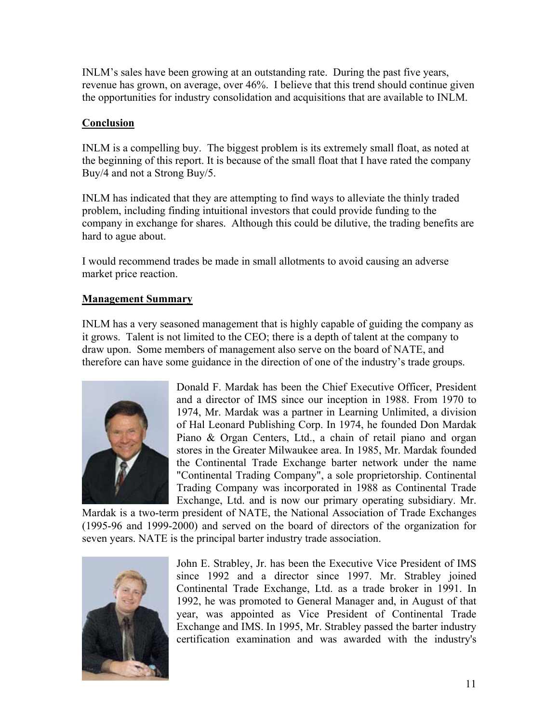INLM's sales have been growing at an outstanding rate. During the past five years, revenue has grown, on average, over 46%. I believe that this trend should continue given the opportunities for industry consolidation and acquisitions that are available to INLM.

#### **Conclusion**

INLM is a compelling buy. The biggest problem is its extremely small float, as noted at the beginning of this report. It is because of the small float that I have rated the company Buy/4 and not a Strong Buy/5.

INLM has indicated that they are attempting to find ways to alleviate the thinly traded problem, including finding intuitional investors that could provide funding to the company in exchange for shares. Although this could be dilutive, the trading benefits are hard to ague about.

I would recommend trades be made in small allotments to avoid causing an adverse market price reaction.

### **Management Summary**

INLM has a very seasoned management that is highly capable of guiding the company as it grows. Talent is not limited to the CEO; there is a depth of talent at the company to draw upon. Some members of management also serve on the board of NATE, and therefore can have some guidance in the direction of one of the industry's trade groups.



Donald F. Mardak has been the Chief Executive Officer, President and a director of IMS since our inception in 1988. From 1970 to 1974, Mr. Mardak was a partner in Learning Unlimited, a division of Hal Leonard Publishing Corp. In 1974, he founded Don Mardak Piano & Organ Centers, Ltd., a chain of retail piano and organ stores in the Greater Milwaukee area. In 1985, Mr. Mardak founded the Continental Trade Exchange barter network under the name "Continental Trading Company", a sole proprietorship. Continental Trading Company was incorporated in 1988 as Continental Trade Exchange, Ltd. and is now our primary operating subsidiary. Mr.

Mardak is a two-term president of NATE, the National Association of Trade Exchanges (1995-96 and 1999-2000) and served on the board of directors of the organization for seven years. NATE is the principal barter industry trade association.



John E. Strabley, Jr. has been the Executive Vice President of IMS since 1992 and a director since 1997. Mr. Strabley joined Continental Trade Exchange, Ltd. as a trade broker in 1991. In 1992, he was promoted to General Manager and, in August of that year, was appointed as Vice President of Continental Trade Exchange and IMS. In 1995, Mr. Strabley passed the barter industry certification examination and was awarded with the industry's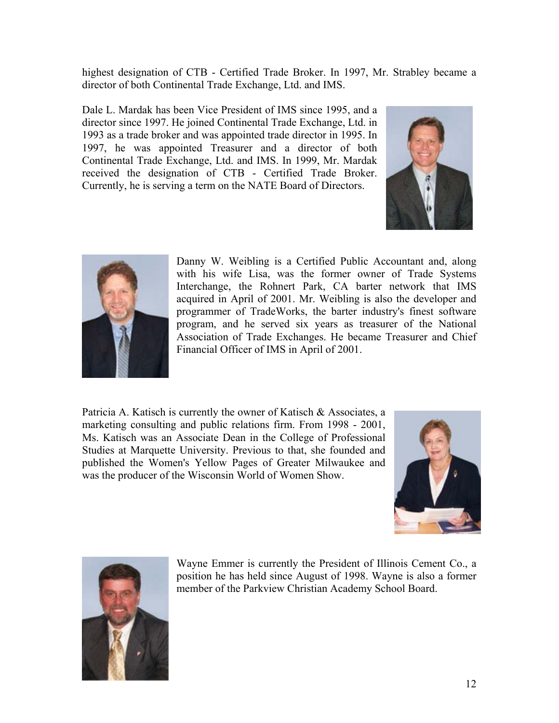highest designation of CTB - Certified Trade Broker. In 1997, Mr. Strabley became a director of both Continental Trade Exchange, Ltd. and IMS.

Dale L. Mardak has been Vice President of IMS since 1995, and a director since 1997. He joined Continental Trade Exchange, Ltd. in 1993 as a trade broker and was appointed trade director in 1995. In 1997, he was appointed Treasurer and a director of both Continental Trade Exchange, Ltd. and IMS. In 1999, Mr. Mardak received the designation of CTB - Certified Trade Broker. Currently, he is serving a term on the NATE Board of Directors.





Danny W. Weibling is a Certified Public Accountant and, along with his wife Lisa, was the former owner of Trade Systems Interchange, the Rohnert Park, CA barter network that IMS acquired in April of 2001. Mr. Weibling is also the developer and programmer of TradeWorks, the barter industry's finest software program, and he served six years as treasurer of the National Association of Trade Exchanges. He became Treasurer and Chief Financial Officer of IMS in April of 2001.

Patricia A. Katisch is currently the owner of Katisch & Associates, a marketing consulting and public relations firm. From 1998 - 2001, Ms. Katisch was an Associate Dean in the College of Professional Studies at Marquette University. Previous to that, she founded and published the Women's Yellow Pages of Greater Milwaukee and was the producer of the Wisconsin World of Women Show.





Wayne Emmer is currently the President of Illinois Cement Co., a position he has held since August of 1998. Wayne is also a former member of the Parkview Christian Academy School Board.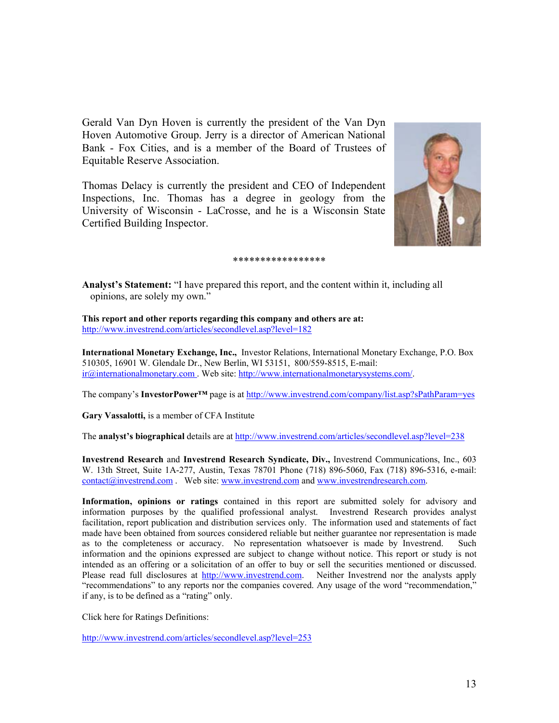Gerald Van Dyn Hoven is currently the president of the Van Dyn Hoven Automotive Group. Jerry is a director of American National Bank - Fox Cities, and is a member of the Board of Trustees of Equitable Reserve Association.

Thomas Delacy is currently the president and CEO of Independent Inspections, Inc. Thomas has a degree in geology from the University of Wisconsin - LaCrosse, and he is a Wisconsin State Certified Building Inspector.



#### \*\*\*\*\*\*\*\*\*\*\*\*\*\*\*\*\*

**Analyst's Statement:** "I have prepared this report, and the content within it, including all opinions, are solely my own."

**This report and other reports regarding this company and others are at:**  <http://www.investrend.com/articles/secondlevel.asp?level=182>

**International Monetary Exchange, Inc.,** Investor Relations, International Monetary Exchange, P.O. Box 510305, 16901 W. Glendale Dr., New Berlin, WI 53151, 800/559-8515, E-mail: [ir@internationalmonetary.com](mailto:ir@internationalmonetary.com) . Web site: [http://www.internationalmonetarysystems.com/.](http://www.prvh.com/)

The company's **InvestorPower™** page is at <http://www.investrend.com/company/list.asp?sPathParam=yes>

**Gary Vassalotti,** is a member of CFA Institute

The **analyst's biographical** details are at <http://www.investrend.com/articles/secondlevel.asp?level=238>

**Investrend Research** and **Investrend Research Syndicate, Div.,** Investrend Communications, Inc., 603 W. 13th Street, Suite 1A-277, Austin, Texas 78701 Phone (718) 896-5060, Fax (718) 896-5316, e-mail: [contact@investrend.com](mailto:contact@investrend.com) . Web site: [www.investrend.com](http://www.investrend.com/) and [www.investrendresearch.com](http://www.investrendresearch.com/).

**Information, opinions or ratings** contained in this report are submitted solely for advisory and information purposes by the qualified professional analyst. Investrend Research provides analyst facilitation, report publication and distribution services only. The information used and statements of fact made have been obtained from sources considered reliable but neither guarantee nor representation is made as to the completeness or accuracy. No representation whatsoever is made by Investrend. Such information and the opinions expressed are subject to change without notice. This report or study is not intended as an offering or a solicitation of an offer to buy or sell the securities mentioned or discussed. Please read full disclosures at [http://www.investrend.com.](http://www.investrend.com/) Neither Investrend nor the analysts apply "recommendations" to any reports nor the companies covered. Any usage of the word "recommendation," if any, is to be defined as a "rating" only.

Click here for Ratings Definitions:

<http://www.investrend.com/articles/secondlevel.asp?level=253>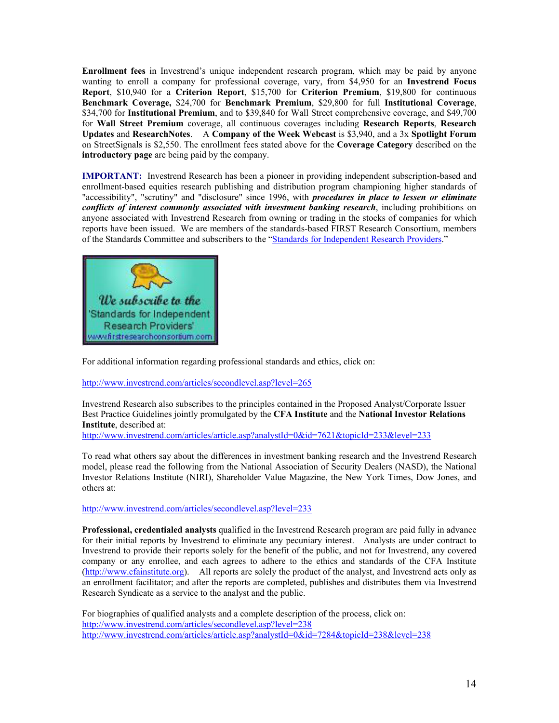**Enrollment fees** in Investrend's unique independent research program, which may be paid by anyone wanting to enroll a company for professional coverage, vary, from \$4,950 for an **Investrend Focus Report**, \$10,940 for a **Criterion Report**, \$15,700 for **Criterion Premium**, \$19,800 for continuous **Benchmark Coverage,** \$24,700 for **Benchmark Premium**, \$29,800 for full **Institutional Coverage**, \$34,700 for **Institutional Premium**, and to \$39,840 for Wall Street comprehensive coverage, and \$49,700 for **Wall Street Premium** coverage, all continuous coverages including **Research Reports**, **Research Updates** and **ResearchNotes**. A **Company of the Week Webcast** is \$3,940, and a 3x **Spotlight Forum** on StreetSignals is \$2,550. The enrollment fees stated above for the **Coverage Category** described on the **introductory page** are being paid by the company.

**IMPORTANT:** Investrend Research has been a pioneer in providing independent subscription-based and enrollment-based equities research publishing and distribution program championing higher standards of "accessibility", "scrutiny" and "disclosure" since 1996, with *procedures in place to lessen or eliminate conflicts of interest commonly associated with investment banking research*, including prohibitions on anyone associated with Investrend Research from owning or trading in the stocks of companies for which reports have been issued. We are members of the standards-based FIRST Research Consortium, members of the Standards Committee and subscribers to the ["Standards for Independent Research Providers.](http://www.firstresearchconsortium.com/)"



For additional information regarding professional standards and ethics, click on:

<http://www.investrend.com/articles/secondlevel.asp?level=265>

Investrend Research also subscribes to the principles contained in the Proposed Analyst/Corporate Issuer Best Practice Guidelines jointly promulgated by the **CFA Institute** and the **National Investor Relations Institute**, described at:

<http://www.investrend.com/articles/article.asp?analystId=0&id=7621&topicId=233&level=233>

To read what others say about the differences in investment banking research and the Investrend Research model, please read the following from the National Association of Security Dealers (NASD), the National Investor Relations Institute (NIRI), Shareholder Value Magazine, the New York Times, Dow Jones, and others at:

<http://www.investrend.com/articles/secondlevel.asp?level=233>

**Professional, credentialed analysts** qualified in the Investrend Research program are paid fully in advance for their initial reports by Investrend to eliminate any pecuniary interest. Analysts are under contract to Investrend to provide their reports solely for the benefit of the public, and not for Investrend, any covered company or any enrollee, and each agrees to adhere to the ethics and standards of the CFA Institute [\(http://www.cfainstitute.org\)](http://www.cfainstitute.org/). All reports are solely the product of the analyst, and Investrend acts only as an enrollment facilitator; and after the reports are completed, publishes and distributes them via Investrend Research Syndicate as a service to the analyst and the public.

For biographies of qualified analysts and a complete description of the process, click on: <http://www.investrend.com/articles/secondlevel.asp?level=238> <http://www.investrend.com/articles/article.asp?analystId=0&id=7284&topicId=238&level=238>